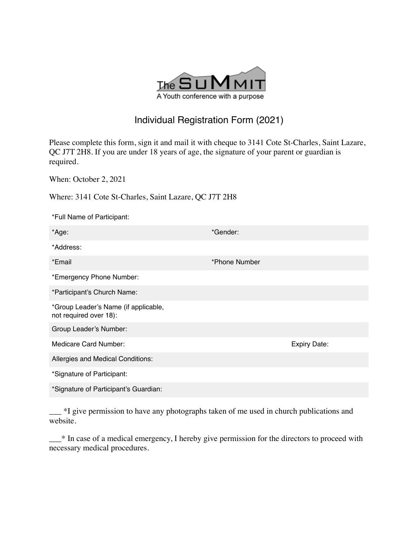

## Individual Registration Form (2021)

Please complete this form, sign it and mail it with cheque to 3141 Cote St-Charles, Saint Lazare, QC J7T 2H8. If you are under 18 years of age, the signature of your parent or guardian is required.

When: October 2, 2021

Where: 3141 Cote St-Charles, Saint Lazare, QC J7T 2H8

| *Full Name of Participant:                                     |               |
|----------------------------------------------------------------|---------------|
| *Age:                                                          | *Gender:      |
| *Address:                                                      |               |
| *Email                                                         | *Phone Number |
| *Emergency Phone Number:                                       |               |
| *Participant's Church Name:                                    |               |
| *Group Leader's Name (if applicable,<br>not required over 18): |               |
| Group Leader's Number:                                         |               |
| Medicare Card Number:                                          | Expiry Date:  |
| Allergies and Medical Conditions:                              |               |
| *Signature of Participant:                                     |               |
| *Signature of Participant's Guardian:                          |               |

\_\_\_ \*I give permission to have any photographs taken of me used in church publications and website.

\_\_\_\* In case of a medical emergency, I hereby give permission for the directors to proceed with necessary medical procedures.